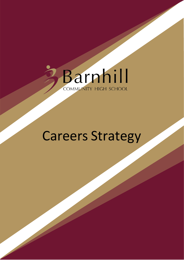

# Careers Strategy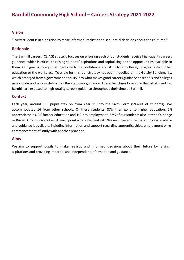# **Barnhill Community High School – Careers Strategy 2021-2022**

# **Vision**

"Every student is in a position to make informed, realistic and sequential decisions about their futures."

#### **Rationale**

The Barnhill careers (CEIAG) strategy focuses on ensuring each of our students receive high-quality careers guidance, which is critical to raising students' aspirations and capitalising on the opportunities available to them. Our goal is to equip students with the confidence and skills to effortlessly progress into further education or the workplace. To allow for this, our strategy has been modelled on the Gatsby Benchmarks, which emerged from a government enquiry into what makes good careers guidance at schools and colleges nationwide and is now defined as the statutory guidance. These benchmarks ensure that all students at Barnhill are exposed to high-quality careers guidance throughout their time at Barnhill.

#### **Context**

Each year, around 138 pupils stay on from Year 11 into the Sixth Form (59.48% of students). We accommodated 16 from other schools. Of these students, 87% then go onto higher education, 5% apprenticeships, 2% further education and 1% into employment. 22% of our students also attend Oxbridge or Russell Group universities. At each point where we deal with 'leavers', we ensure thatappropriate advice and guidance is available, including information and support regarding apprenticeships, employment or recommencement of study with another provider.

#### **Aims**

We aim to support pupils to make realistic and informed decisions about their future by raising aspirations and providing impartial and independent information and guidance.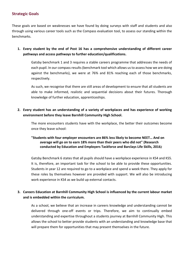# **Strategic Goals**

These goals are based on weaknesses we have found by doing surveys with staff and students and also through using various career tools such as the Compass evaluation tool, to assess our standing within the benchmarks.

**1. Every student by the end of Post 16 has a comprehensive understanding of different career pathways and access pathways to further education/qualifications.** 

Gatsby benchmark 1 and 3 requires a stable careers programme that addresses the needs of each pupil. In our compass results (benchmark tool which allows us to assess how we are doing against the benchmarks), we were at 76% and 81% reaching each of those benchmarks, respectively.

As such, we recognise that there are still areas of development to ensure that all students are able to make informed, realistic and sequential decisions about their futures. Thorough knowledge of further education, apprenticeships.

**2. Every student has an understanding of a variety of workplaces and has experience of working environment before they leave Barnhill Community High School.**

The more encounters students have with the workplace, the better their outcomes become once they leave school:

#### **"Students with four employer encounters are 86% less likely to become NEET… And on average will go on to earn 18% more than their peers who did not" (Research conducted by Education and Employers Taskforce and Barclays Life Skills, 2016***)*

Gatsby Benchmark 6 states that all pupils should have a workplace experience in KS4 and KS5. It is, therefore, an important task for the school to be able to provide these opportunities. Students in year 12 are required to go to a workplace and spend a week there. They apply for these roles by themselves however are provided with support. We will also be introducing work experience in KS4 as we build up external contacts.

**3. Careers Education at Barnhill Community High School is influenced by the current labour market and is embedded within the curriculum.** 

As a school, we believe that an increase in careers knowledge and understanding cannot be delivered through one-off events or trips. Therefore, we aim to continually embed understanding and expertise throughout a students journey at Barnhill Community High. This allows the school to better provide students with an understanding and knowledge base that will prepare them for opportunities that may present themselves in the future.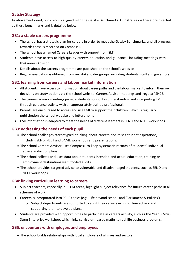# **Gatsby Strategy**

As abovementioned, our vision is aligned with the Gatsby Benchmarks. Our strategy is therefore directed by these benchmarks and is detailed below.

# **GB1: a stable careers programme**

- The school has a strategic plan for careers in order to meet the Gatsby Benchmarks, and all progress towards these is recorded on Compass+.
- The school has a named Careers Leader with support from SLT.
- Students have access to high-quality careers education and guidance, including meetings with theCareers Advisor.
- Details about the careers programme are published on the school's website.
- Regular evaluation is obtained from key stakeholder groups, including students, staff and governors.

# **GB2: learning from careers and labour market information**

- All students have access to information about career paths and the labour market to inform their own decisions on study options via the school website, Careers Advisor meetings and regularPSHCE.
- The careers advisor meetings provide students support in understanding and interpreting LMI through guidance activity with an appropriately trained professional.
- Parents are encouraged to access and use LMI to support their children, which is regularly publishedon the school website and letters home.
- LMI information is adapted to meet the needs of different learners in SEND and NEET workshops.

# **GB3: addressing the needs of each pupil**

- The school challenges stereotypical thinking about careers and raises student aspirations, includingSEND, NEET and BAME workshops and presentations.
- The school Careers Advisor uses Compass+ to keep systematic records of students' individual advice andaction plans.
- The school collects and uses data about students intended and actual education, training or employment destinations via tutor-led audits.
- The school provides targeted advice to vulnerable and disadvantaged students, such as SEND and NEET workshops.

#### **GB4: linking curriculum learning to careers**

- Subject teachers, especially in STEM areas, highlight subject relevance for future career paths in all schemes of work.
- Careers is incorporated into PSHE topics (e.g. 'Life beyond school' and 'Parliament & Politics').
	- $\circ$  Subject departments are supported to audit their careers in curriculum activity and supporting themto develop plans.
- Students are provided with opportunities to participate in careers activity, such as the Year 8 M&G Stem Enterprise workshop, which links curriculum-based maths to real-life business problems.

### **GB5: encounters with employers and employees**

The school builds relationships with local employers of all sizes and sectors.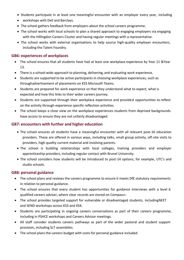- Students participate in at least one meaningful encounter with an employer every year, including
- workshops with Dell and Barclays.
- The school gathers feedback from employers about the school careers programme.
- The school works with local schools to plan a shared approach to engaging employers via engaging with the Hillingdon Careers Cluster and having regular meetings with a representative.
- The school works with external organisations to help source high-quality employer encounters, including the Talent Foundry.

#### **GB6: experiences of workplaces**

- The school ensures that all students have had at least one workplace experience by Year 11 &Year 13.
- There is a school-wide approach to planning, delivering, and evaluating work experience.
- Students are supported to be active participants in choosing workplace experiences, such as throughadvertisement of placements on KS5 Microsoft Teams.
- Students are prepared for work experience so that they understand what to expect, what is expected and how this links to their wider careers journey.
- Students are supported through their workplace experience and provided opportunities to reflect on the activity through experience specific reflection activities.
- The school keeps a close view on the workplace experiences students from deprived backgrounds have access to ensure they are not unfairly disadvantaged.

#### **GB7: encounters with further and higher education**

- The school ensures all students have a meaningful encounter with all relevant post-16 education providers. These are offered in various ways, including talks, small group activity, off-site visits to providers, high-quality current material and involving parents.
- The school is building relationships with local colleges, training providers and employer apprenticeship providers, including regular contact with Brunel University.
- The school considers how students will be introduced to post-14 options, for example, UTC's and studio schools.

#### **GB8: personal guidance**

- The school plans and reviews the careers programme to ensure it meets DfE statutory requirements in relation to personal guidance.
- The school ensures that every student has opportunities for guidance interviews with a level 6 qualified careers adviser, where clear records are stored on Compass+.
- The school provides targeted support for vulnerable or disadvantaged students, includingNEET and SEND workshops across KS3 and KS4.
- Students are participating in ongoing careers conversations as part of their careers programme, including in PSHCE workshops and Careers Advisor meetings.
- All staff consider students careers pathways as part of the wider pastoral and student support provision, including SLT assemblies.
- The school plans the careers budget with costs for personal guidance included.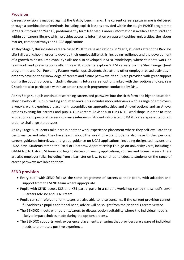### **Provision**

Careers provision is mapped against the Gatsby benchmarks. The current careers programme is delivered through a combination of methods, including explicit lessons provided within the taught PSHCE programme in Years 7 through to Year 13, predominantly form tutor-led. Careers information is available from staff and within our careerslibrary, which provides accessto information on apprenticeships, universities, the labour market, career pathways and UCAS applications.

At Key Stage 3, this includes careers-based PSHE to raise aspirations. In Year 7, students attend the Barclays Life Skills workshop in order to develop their employability skills, including resilience and the development of a growth mindset. Employability skills are also developed in SEND workshops, where students work on teamwork and presentation skills. In Year 8, students explore STEM careers via the Shell Energy Quest programme and Dell Powering Futures workshops. Students also attend other employer-based activities in order to develop their knowledge of careers and future pathways. Year 9's are provided with great support during the options process, including discussing future career options linked with theiroptions choices. Year 9 students also participate within an action research programme conducted by DHL.

At Key Stage 4, pupils continue researching careers and pathways into the sixth form and higher education. They develop skills in CV writing and interviews. This includes mock interviews with a range of employers, a week's work experience placement, assemblies on apprenticeships and A-level options and an A-level options evening for parents and pupils. Our Careers Advisor also runs NEET workshops in order to raise aspirations and personal careers guidance interviews. Students also listen to BAME careerspresentations in order to challenge stereotypes.

At Key Stage 5, students take part in another work experience placement where they self-evaluate their performance and what they have learnt about the world of work. Students also have further personal careers guidance interviews, and group guidance on UCAS applications, including designated lessons and UCAS days. Students attend the Excel or Heathrow Apprenticeship Fair, go on university visits, including a GAMA trip to Oxford, St Anne's college to discuss university applications, courses and future careers. There are also employer talks, including from a barrister on law, to continue to educate students on the range of career pathways available to them.

# **SEND provision**

- Every pupil with SEND follows the same programme of careers as their peers, with adaption and support from the SEND team where appropriate.
- Pupils with SEND across KS3 and KS4 participate in a careers workshop run by the school's Level 6Careers Advisor and SEND team.
- Pupils can self-refer, and form tutors are also able to raise concerns. If the current provision cannot fullyaddress a pupil's additional need, advice will be sought from the National Careers Service.
- The SENDCO meets with parents/carers to discuss option suitability where the individual need is likelyto impact choices made during the options process.
- The SENDCO supports work experience placements, ensuring that providers are aware of individual needs to promote a positive experience.